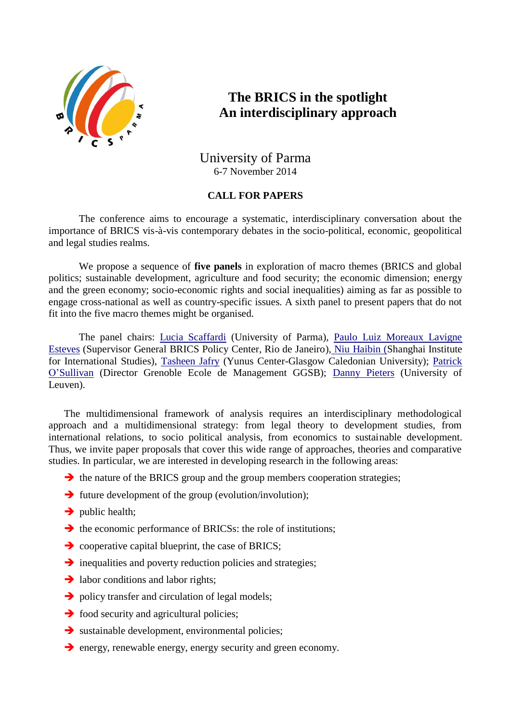

# **The BRICS in the spotlight An interdisciplinary approach**

## University of Parma 6-7 November 2014

### **CALL FOR PAPERS**

The conference aims to encourage a systematic, interdisciplinary conversation about the importance of BRICS vis-à-vis contemporary debates in the socio-political, economic, geopolitical and legal studies realms.

We propose a sequence of **five panels** in exploration of macro themes (BRICS and global politics; sustainable development, agriculture and food security; the economic dimension; energy and the green economy; socio-economic rights and social inequalities) aiming as far as possible to engage cross-national as well as country-specific issues. A sixth panel to present papers that do not fit into the five macro themes might be organised.

The panel chairs: [Lucia Scaffardi](http://en.unipr.it/ugov/person/17755) (University of Parma), [Paulo Luiz Moreaux Lavigne](http://bricspolicycenter.org/homolog)  [Esteves](http://bricspolicycenter.org/homolog) (Supervisor General BRICS Policy Center, Rio de Janeiro), [Niu Haibin \(S](http://en.siis.org.cn/@niuhaibin)hanghai Institute for International Studies), [Tasheen Jafry](http://www.gcu.ac.uk/yunuscentre/theteam/academicresearchstaff/tahseenjafry/) (Yunus Center-Glasgow Caledonian University); [Patrick](http://www.grenoble-em.com/49208-patrick-o-sullivan-cv-2.aspx)  [O'Sullivan](http://www.grenoble-em.com/49208-patrick-o-sullivan-cv-2.aspx) (Director Grenoble Ecole de Management GGSB); [Danny Pieters](http://www.kuleuven.be/wieiswie/en/person/u0018948) (University of Leuven).

The multidimensional framework of analysis requires an interdisciplinary methodological approach and a multidimensional strategy: from legal theory to development studies, from international relations, to socio political analysis, from economics to sustainable development. Thus, we invite paper proposals that cover this wide range of approaches, theories and comparative studies. In particular, we are interested in developing research in the following areas:

- $\rightarrow$  the nature of the BRICS group and the group members cooperation strategies;
- $\rightarrow$  future development of the group (evolution/involution);
- $\rightarrow$  public health;
- $\rightarrow$  the economic performance of BRICSs: the role of institutions;
- $\rightarrow$  cooperative capital blueprint, the case of BRICS;
- $\rightarrow$  inequalities and poverty reduction policies and strategies;
- $\rightarrow$  labor conditions and labor rights;
- $\rightarrow$  policy transfer and circulation of legal models;
- $\rightarrow$  food security and agricultural policies;
- $\rightarrow$  sustainable development, environmental policies;
- $\rightarrow$  energy, renewable energy, energy security and green economy.